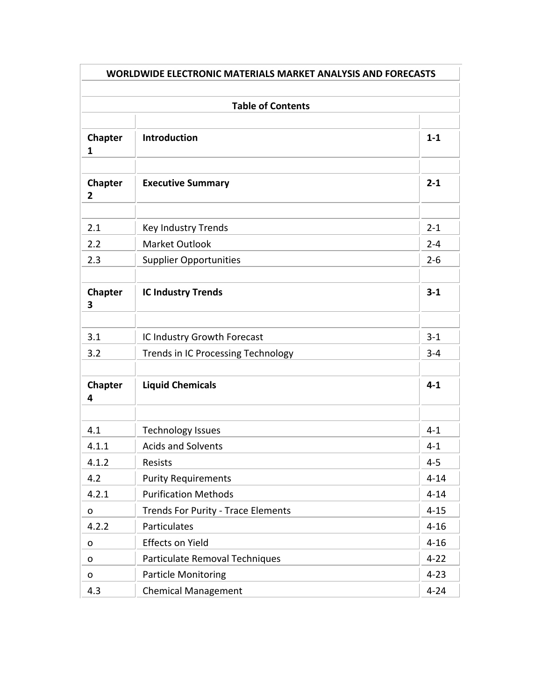| <b>WORLDWIDE ELECTRONIC MATERIALS MARKET ANALYSIS AND FORECASTS</b> |                                                        |                    |  |  |
|---------------------------------------------------------------------|--------------------------------------------------------|--------------------|--|--|
|                                                                     |                                                        |                    |  |  |
| <b>Table of Contents</b>                                            |                                                        |                    |  |  |
| <b>Chapter</b><br>1                                                 | <b>Introduction</b>                                    | $1 - 1$            |  |  |
| <b>Chapter</b><br>2                                                 | <b>Executive Summary</b>                               | $2 - 1$            |  |  |
| 2.1                                                                 | <b>Key Industry Trends</b>                             | $2 - 1$            |  |  |
| 2.2<br>2.3                                                          | <b>Market Outlook</b><br><b>Supplier Opportunities</b> | $2 - 4$<br>$2 - 6$ |  |  |
| <b>Chapter</b><br>3                                                 | <b>IC Industry Trends</b>                              | $3 - 1$            |  |  |
| 3.1                                                                 | IC Industry Growth Forecast                            | $3 - 1$            |  |  |
| 3.2                                                                 | <b>Trends in IC Processing Technology</b>              | $3 - 4$            |  |  |
| <b>Chapter</b><br>4                                                 | <b>Liquid Chemicals</b>                                | $4 - 1$            |  |  |
|                                                                     |                                                        |                    |  |  |
| 4.1                                                                 | <b>Technology Issues</b><br><b>Acids and Solvents</b>  | $4 - 1$<br>$4 - 1$ |  |  |
| 4.1.1<br>4.1.2                                                      | Resists                                                | $4 - 5$            |  |  |
| 4.2                                                                 | <b>Purity Requirements</b>                             | $4 - 14$           |  |  |
| 4.2.1                                                               | <b>Purification Methods</b>                            | $4 - 14$           |  |  |
| 0                                                                   | <b>Trends For Purity - Trace Elements</b>              | $4 - 15$           |  |  |
| 4.2.2                                                               | Particulates                                           | $4 - 16$           |  |  |
| 0                                                                   | <b>Effects on Yield</b>                                | $4 - 16$           |  |  |
| o                                                                   | Particulate Removal Techniques                         | $4 - 22$           |  |  |
| o                                                                   | <b>Particle Monitoring</b>                             | $4 - 23$           |  |  |
| 4.3                                                                 | <b>Chemical Management</b>                             | $4 - 24$           |  |  |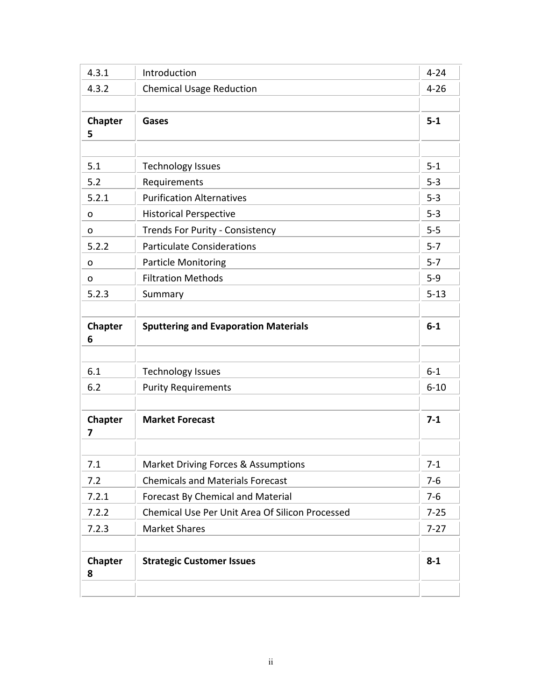| 4.3.1               | Introduction                                    | $4 - 24$ |
|---------------------|-------------------------------------------------|----------|
| 4.3.2               | <b>Chemical Usage Reduction</b>                 | $4 - 26$ |
| Chapter<br>5        | Gases                                           | $5-1$    |
|                     |                                                 |          |
| 5.1                 | <b>Technology Issues</b>                        | $5 - 1$  |
| 5.2                 | Requirements                                    | $5 - 3$  |
| 5.2.1               | <b>Purification Alternatives</b>                | $5 - 3$  |
| o                   | <b>Historical Perspective</b>                   | $5 - 3$  |
| O                   | <b>Trends For Purity - Consistency</b>          | $5-5$    |
| 5.2.2               | <b>Particulate Considerations</b>               | $5 - 7$  |
| O                   | <b>Particle Monitoring</b>                      | $5 - 7$  |
| O                   | <b>Filtration Methods</b>                       | $5 - 9$  |
| 5.2.3               | Summary                                         | $5 - 13$ |
| Chapter<br>6        | <b>Sputtering and Evaporation Materials</b>     | $6-1$    |
|                     |                                                 |          |
| 6.1                 | <b>Technology Issues</b>                        | $6-1$    |
| 6.2                 | <b>Purity Requirements</b>                      | $6 - 10$ |
| Chapter<br>7        | <b>Market Forecast</b>                          | $7-1$    |
| 7.1                 | т<br>Market Driving Forces & Assumptions        | $7-1$    |
| 7.2                 | <b>Chemicals and Materials Forecast</b>         | $7-6$    |
| 7.2.1               | Forecast By Chemical and Material               | $7-6$    |
| 7.2.2               | Chemical Use Per Unit Area Of Silicon Processed | $7 - 25$ |
| 7.2.3               | <b>Market Shares</b>                            | $7-27$   |
| <b>Chapter</b><br>8 | <b>Strategic Customer Issues</b>                | $8 - 1$  |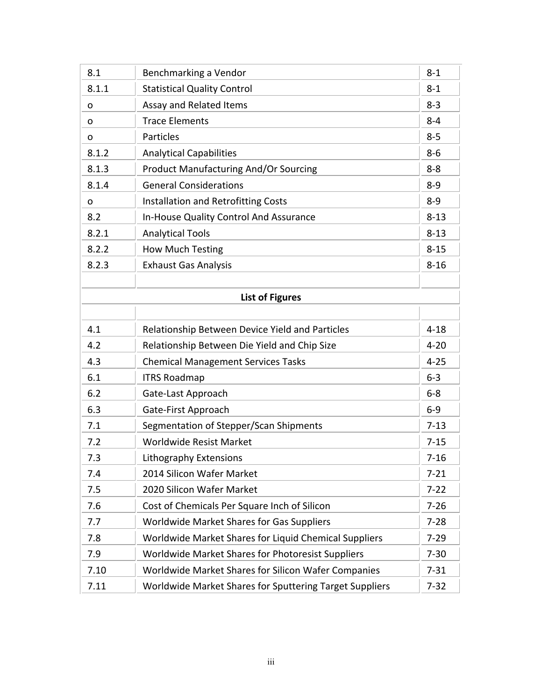| 8.1   | Benchmarking a Vendor                                   | $8 - 1$  |
|-------|---------------------------------------------------------|----------|
| 8.1.1 | <b>Statistical Quality Control</b>                      | $8 - 1$  |
| 0     | Assay and Related Items                                 | $8 - 3$  |
| 0     | <b>Trace Elements</b>                                   | $8 - 4$  |
| 0     | <b>Particles</b>                                        | $8 - 5$  |
| 8.1.2 | <b>Analytical Capabilities</b>                          | $8 - 6$  |
| 8.1.3 | <b>Product Manufacturing And/Or Sourcing</b>            | $8 - 8$  |
| 8.1.4 | <b>General Considerations</b>                           | $8 - 9$  |
| O     | Installation and Retrofitting Costs                     | $8 - 9$  |
| 8.2   | In-House Quality Control And Assurance                  | $8 - 13$ |
| 8.2.1 | <b>Analytical Tools</b>                                 | $8 - 13$ |
| 8.2.2 | <b>How Much Testing</b>                                 | $8 - 15$ |
| 8.2.3 | <b>Exhaust Gas Analysis</b>                             | $8 - 16$ |
|       |                                                         |          |
|       | <b>List of Figures</b>                                  |          |
|       |                                                         |          |
| 4.1   | Relationship Between Device Yield and Particles         | $4 - 18$ |
| 4.2   | Relationship Between Die Yield and Chip Size            | $4 - 20$ |
| 4.3   | <b>Chemical Management Services Tasks</b>               | $4 - 25$ |
| 6.1   | <b>ITRS Roadmap</b>                                     | $6-3$    |
| 6.2   | Gate-Last Approach                                      | $6-8$    |
| 6.3   | Gate-First Approach                                     | $6-9$    |
| 7.1   | Segmentation of Stepper/Scan Shipments                  | $7 - 13$ |
| 7.2   | <b>Worldwide Resist Market</b>                          | $7 - 15$ |
| 7.3   | Lithography Extensions                                  | $7 - 16$ |
| 7.4   | 2014 Silicon Wafer Market                               | $7 - 21$ |
| 7.5   | 2020 Silicon Wafer Market                               | $7 - 22$ |
| 7.6   | Cost of Chemicals Per Square Inch of Silicon            | $7 - 26$ |
| 7.7   | <b>Worldwide Market Shares for Gas Suppliers</b>        | $7 - 28$ |
| 7.8   | Worldwide Market Shares for Liquid Chemical Suppliers   | $7 - 29$ |
| 7.9   | Worldwide Market Shares for Photoresist Suppliers       | $7 - 30$ |
| 7.10  | Worldwide Market Shares for Silicon Wafer Companies     | $7 - 31$ |
| 7.11  | Worldwide Market Shares for Sputtering Target Suppliers | $7 - 32$ |